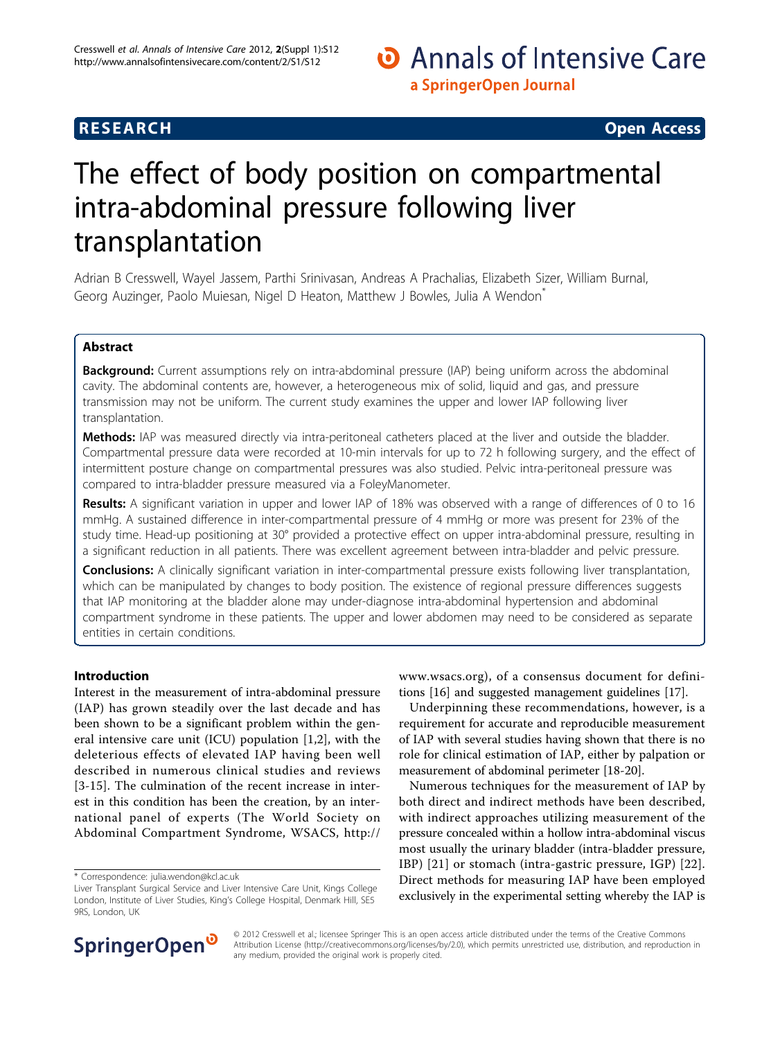## O Annals of Intensive Care a SpringerOpen Journal

### **RESEARCH CONSTRUCTION CONSTRUCTS**

# The effect of body position on compartmental intra-abdominal pressure following liver transplantation

Adrian B Cresswell, Wayel Jassem, Parthi Srinivasan, Andreas A Prachalias, Elizabeth Sizer, William Burnal, Georg Auzinger, Paolo Muiesan, Nigel D Heaton, Matthew J Bowles, Julia A Wendon\*

#### Abstract

**Background:** Current assumptions rely on intra-abdominal pressure (IAP) being uniform across the abdominal cavity. The abdominal contents are, however, a heterogeneous mix of solid, liquid and gas, and pressure transmission may not be uniform. The current study examines the upper and lower IAP following liver transplantation.

Methods: IAP was measured directly via intra-peritoneal catheters placed at the liver and outside the bladder. Compartmental pressure data were recorded at 10-min intervals for up to 72 h following surgery, and the effect of intermittent posture change on compartmental pressures was also studied. Pelvic intra-peritoneal pressure was compared to intra-bladder pressure measured via a FoleyManometer.

Results: A significant variation in upper and lower IAP of 18% was observed with a range of differences of 0 to 16 mmHg. A sustained difference in inter-compartmental pressure of 4 mmHg or more was present for 23% of the study time. Head-up positioning at 30° provided a protective effect on upper intra-abdominal pressure, resulting in a significant reduction in all patients. There was excellent agreement between intra-bladder and pelvic pressure.

**Conclusions:** A clinically significant variation in inter-compartmental pressure exists following liver transplantation, which can be manipulated by changes to body position. The existence of regional pressure differences suggests that IAP monitoring at the bladder alone may under-diagnose intra-abdominal hypertension and abdominal compartment syndrome in these patients. The upper and lower abdomen may need to be considered as separate entities in certain conditions.

#### Introduction

Interest in the measurement of intra-abdominal pressure (IAP) has grown steadily over the last decade and has been shown to be a significant problem within the general intensive care unit (ICU) population [[1,2](#page-8-0)], with the deleterious effects of elevated IAP having been well described in numerous clinical studies and reviews [[3-](#page-8-0)[15\]](#page-9-0). The culmination of the recent increase in interest in this condition has been the creation, by an international panel of experts (The World Society on Abdominal Compartment Syndrome, WSACS, [http://](http://www.wsacs.org)

[www.wsacs.org\)](http://www.wsacs.org), of a consensus document for definitions [\[16\]](#page-9-0) and suggested management guidelines [[17](#page-9-0)].

Underpinning these recommendations, however, is a requirement for accurate and reproducible measurement of IAP with several studies having shown that there is no role for clinical estimation of IAP, either by palpation or measurement of abdominal perimeter [[18-20](#page-9-0)].

Numerous techniques for the measurement of IAP by both direct and indirect methods have been described, with indirect approaches utilizing measurement of the pressure concealed within a hollow intra-abdominal viscus most usually the urinary bladder (intra-bladder pressure, IBP) [[21\]](#page-9-0) or stomach (intra-gastric pressure, IGP) [[22](#page-9-0)]. Direct methods for measuring IAP have been employed exclusively in the experimental setting whereby the IAP is



© 2012 Cresswell et al.; licensee Springer This is an open access article distributed under the terms of the Creative Commons Attribution License [\(http://creativecommons.org/licenses/by/2.0](http://creativecommons.org/licenses/by/2.0)), which permits unrestricted use, distribution, and reproduction in any medium, provided the original work is properly cited.

<sup>\*</sup> Correspondence: [julia.wendon@kcl.ac.uk](mailto:julia.wendon@kcl.ac.uk)

Liver Transplant Surgical Service and Liver Intensive Care Unit, Kings College London, Institute of Liver Studies, King's College Hospital, Denmark Hill, SE5 9RS, London, UK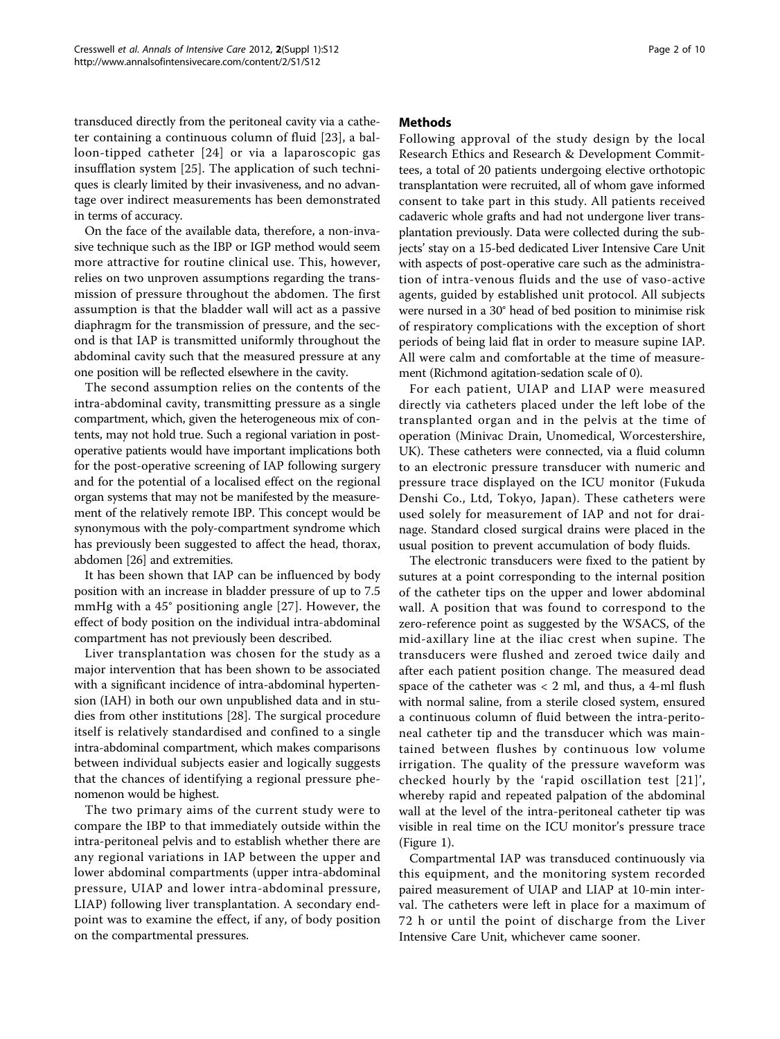transduced directly from the peritoneal cavity via a catheter containing a continuous column of fluid [\[23](#page-9-0)], a balloon-tipped catheter [[24\]](#page-9-0) or via a laparoscopic gas insufflation system [[25](#page-9-0)]. The application of such techniques is clearly limited by their invasiveness, and no advantage over indirect measurements has been demonstrated in terms of accuracy.

On the face of the available data, therefore, a non-invasive technique such as the IBP or IGP method would seem more attractive for routine clinical use. This, however, relies on two unproven assumptions regarding the transmission of pressure throughout the abdomen. The first assumption is that the bladder wall will act as a passive diaphragm for the transmission of pressure, and the second is that IAP is transmitted uniformly throughout the abdominal cavity such that the measured pressure at any one position will be reflected elsewhere in the cavity.

The second assumption relies on the contents of the intra-abdominal cavity, transmitting pressure as a single compartment, which, given the heterogeneous mix of contents, may not hold true. Such a regional variation in postoperative patients would have important implications both for the post-operative screening of IAP following surgery and for the potential of a localised effect on the regional organ systems that may not be manifested by the measurement of the relatively remote IBP. This concept would be synonymous with the poly-compartment syndrome which has previously been suggested to affect the head, thorax, abdomen [\[26\]](#page-9-0) and extremities.

It has been shown that IAP can be influenced by body position with an increase in bladder pressure of up to 7.5 mmHg with a 45° positioning angle [[27](#page-9-0)]. However, the effect of body position on the individual intra-abdominal compartment has not previously been described.

Liver transplantation was chosen for the study as a major intervention that has been shown to be associated with a significant incidence of intra-abdominal hypertension (IAH) in both our own unpublished data and in studies from other institutions [\[28](#page-9-0)]. The surgical procedure itself is relatively standardised and confined to a single intra-abdominal compartment, which makes comparisons between individual subjects easier and logically suggests that the chances of identifying a regional pressure phenomenon would be highest.

The two primary aims of the current study were to compare the IBP to that immediately outside within the intra-peritoneal pelvis and to establish whether there are any regional variations in IAP between the upper and lower abdominal compartments (upper intra-abdominal pressure, UIAP and lower intra-abdominal pressure, LIAP) following liver transplantation. A secondary endpoint was to examine the effect, if any, of body position on the compartmental pressures.

#### Methods

Following approval of the study design by the local Research Ethics and Research & Development Committees, a total of 20 patients undergoing elective orthotopic transplantation were recruited, all of whom gave informed consent to take part in this study. All patients received cadaveric whole grafts and had not undergone liver transplantation previously. Data were collected during the subjects' stay on a 15-bed dedicated Liver Intensive Care Unit with aspects of post-operative care such as the administration of intra-venous fluids and the use of vaso-active agents, guided by established unit protocol. All subjects were nursed in a 30° head of bed position to minimise risk of respiratory complications with the exception of short periods of being laid flat in order to measure supine IAP. All were calm and comfortable at the time of measurement (Richmond agitation-sedation scale of 0).

For each patient, UIAP and LIAP were measured directly via catheters placed under the left lobe of the transplanted organ and in the pelvis at the time of operation (Minivac Drain, Unomedical, Worcestershire, UK). These catheters were connected, via a fluid column to an electronic pressure transducer with numeric and pressure trace displayed on the ICU monitor (Fukuda Denshi Co., Ltd, Tokyo, Japan). These catheters were used solely for measurement of IAP and not for drainage. Standard closed surgical drains were placed in the usual position to prevent accumulation of body fluids.

The electronic transducers were fixed to the patient by sutures at a point corresponding to the internal position of the catheter tips on the upper and lower abdominal wall. A position that was found to correspond to the zero-reference point as suggested by the WSACS, of the mid-axillary line at the iliac crest when supine. The transducers were flushed and zeroed twice daily and after each patient position change. The measured dead space of the catheter was < 2 ml, and thus, a 4-ml flush with normal saline, from a sterile closed system, ensured a continuous column of fluid between the intra-peritoneal catheter tip and the transducer which was maintained between flushes by continuous low volume irrigation. The quality of the pressure waveform was checked hourly by the 'rapid oscillation test [[21](#page-9-0)]', whereby rapid and repeated palpation of the abdominal wall at the level of the intra-peritoneal catheter tip was visible in real time on the ICU monitor's pressure trace (Figure [1\)](#page-2-0).

Compartmental IAP was transduced continuously via this equipment, and the monitoring system recorded paired measurement of UIAP and LIAP at 10-min interval. The catheters were left in place for a maximum of 72 h or until the point of discharge from the Liver Intensive Care Unit, whichever came sooner.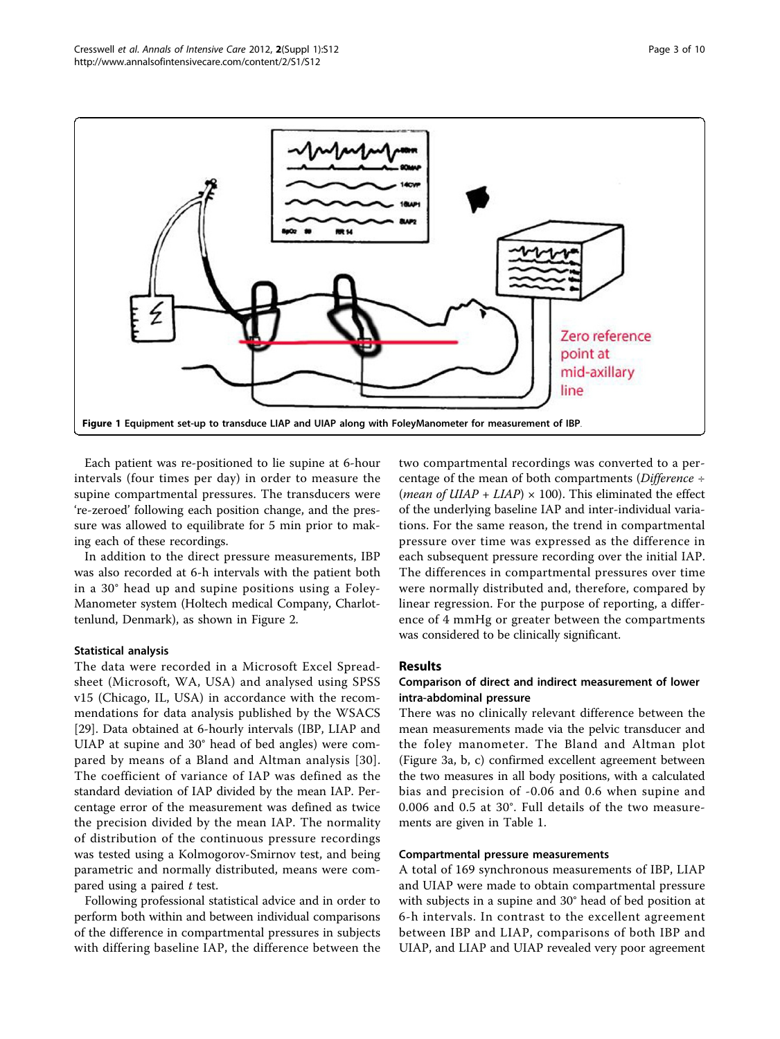<span id="page-2-0"></span>

Each patient was re-positioned to lie supine at 6-hour intervals (four times per day) in order to measure the supine compartmental pressures. The transducers were 're-zeroed' following each position change, and the pressure was allowed to equilibrate for 5 min prior to making each of these recordings.

In addition to the direct pressure measurements, IBP was also recorded at 6-h intervals with the patient both in a 30° head up and supine positions using a Foley-Manometer system (Holtech medical Company, Charlottenlund, Denmark), as shown in Figure [2.](#page-3-0)

#### Statistical analysis

The data were recorded in a Microsoft Excel Spreadsheet (Microsoft, WA, USA) and analysed using SPSS v15 (Chicago, IL, USA) in accordance with the recommendations for data analysis published by the WSACS [[29\]](#page-9-0). Data obtained at 6-hourly intervals (IBP, LIAP and UIAP at supine and 30° head of bed angles) were compared by means of a Bland and Altman analysis [[30\]](#page-9-0). The coefficient of variance of IAP was defined as the standard deviation of IAP divided by the mean IAP. Percentage error of the measurement was defined as twice the precision divided by the mean IAP. The normality of distribution of the continuous pressure recordings was tested using a Kolmogorov-Smirnov test, and being parametric and normally distributed, means were compared using a paired t test.

Following professional statistical advice and in order to perform both within and between individual comparisons of the difference in compartmental pressures in subjects with differing baseline IAP, the difference between the

two compartmental recordings was converted to a percentage of the mean of both compartments (Difference  $\div$ (*mean of UIAP + LIAP*)  $\times$  100). This eliminated the effect of the underlying baseline IAP and inter-individual variations. For the same reason, the trend in compartmental pressure over time was expressed as the difference in each subsequent pressure recording over the initial IAP. The differences in compartmental pressures over time were normally distributed and, therefore, compared by linear regression. For the purpose of reporting, a difference of 4 mmHg or greater between the compartments was considered to be clinically significant.

#### Results

#### Comparison of direct and indirect measurement of lower intra-abdominal pressure

There was no clinically relevant difference between the mean measurements made via the pelvic transducer and the foley manometer. The Bland and Altman plot (Figure [3a, b, c\)](#page-4-0) confirmed excellent agreement between the two measures in all body positions, with a calculated bias and precision of -0.06 and 0.6 when supine and 0.006 and 0.5 at 30°. Full details of the two measurements are given in Table [1](#page-5-0).

#### Compartmental pressure measurements

A total of 169 synchronous measurements of IBP, LIAP and UIAP were made to obtain compartmental pressure with subjects in a supine and 30° head of bed position at 6-h intervals. In contrast to the excellent agreement between IBP and LIAP, comparisons of both IBP and UIAP, and LIAP and UIAP revealed very poor agreement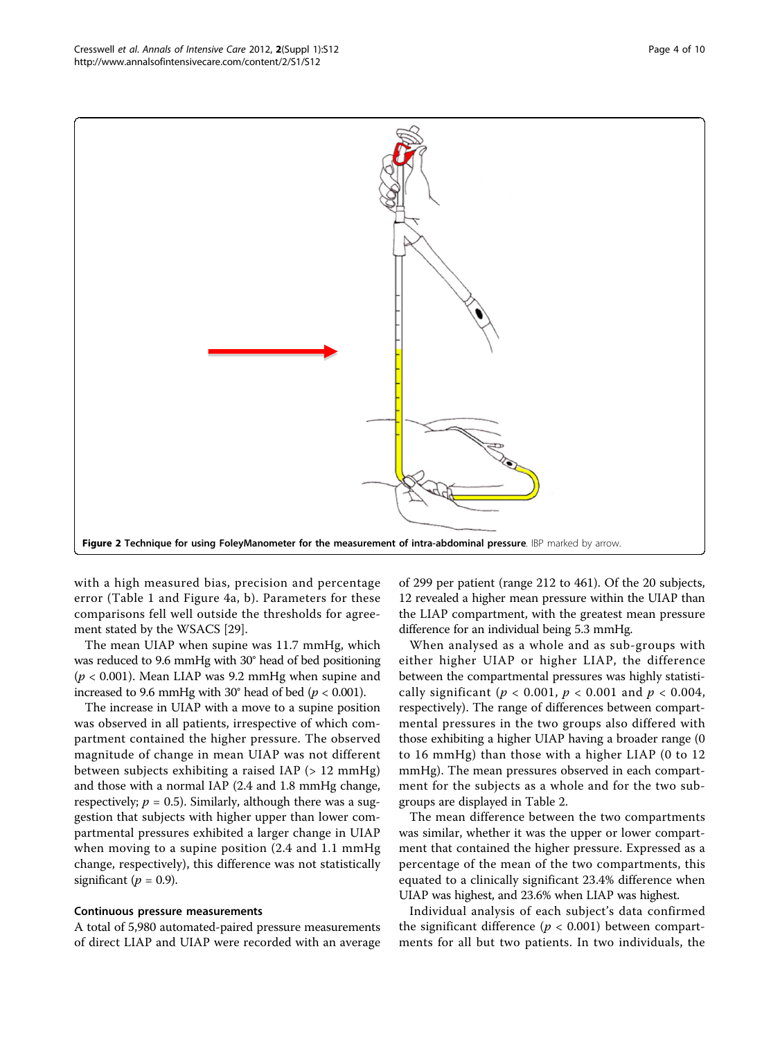<span id="page-3-0"></span>

with a high measured bias, precision and percentage error (Table [1](#page-5-0) and Figure [4a, b\)](#page-6-0). Parameters for these comparisons fell well outside the thresholds for agreement stated by the WSACS [\[29\]](#page-9-0).

The mean UIAP when supine was 11.7 mmHg, which was reduced to 9.6 mmHg with 30° head of bed positioning  $(p < 0.001)$ . Mean LIAP was 9.2 mmHg when supine and increased to 9.6 mmHg with 30 $^{\circ}$  head of bed ( $p < 0.001$ ).

The increase in UIAP with a move to a supine position was observed in all patients, irrespective of which compartment contained the higher pressure. The observed magnitude of change in mean UIAP was not different between subjects exhibiting a raised IAP (> 12 mmHg) and those with a normal IAP (2.4 and 1.8 mmHg change, respectively;  $p = 0.5$ ). Similarly, although there was a suggestion that subjects with higher upper than lower compartmental pressures exhibited a larger change in UIAP when moving to a supine position (2.4 and 1.1 mmHg) change, respectively), this difference was not statistically significant ( $p = 0.9$ ).

#### Continuous pressure measurements

A total of 5,980 automated-paired pressure measurements of direct LIAP and UIAP were recorded with an average of 299 per patient (range 212 to 461). Of the 20 subjects, 12 revealed a higher mean pressure within the UIAP than the LIAP compartment, with the greatest mean pressure difference for an individual being 5.3 mmHg.

When analysed as a whole and as sub-groups with either higher UIAP or higher LIAP, the difference between the compartmental pressures was highly statistically significant ( $p < 0.001$ ,  $p < 0.001$  and  $p < 0.004$ , respectively). The range of differences between compartmental pressures in the two groups also differed with those exhibiting a higher UIAP having a broader range (0 to 16 mmHg) than those with a higher LIAP (0 to 12 mmHg). The mean pressures observed in each compartment for the subjects as a whole and for the two subgroups are displayed in Table [2.](#page-7-0)

The mean difference between the two compartments was similar, whether it was the upper or lower compartment that contained the higher pressure. Expressed as a percentage of the mean of the two compartments, this equated to a clinically significant 23.4% difference when UIAP was highest, and 23.6% when LIAP was highest.

Individual analysis of each subject's data confirmed the significant difference ( $p < 0.001$ ) between compartments for all but two patients. In two individuals, the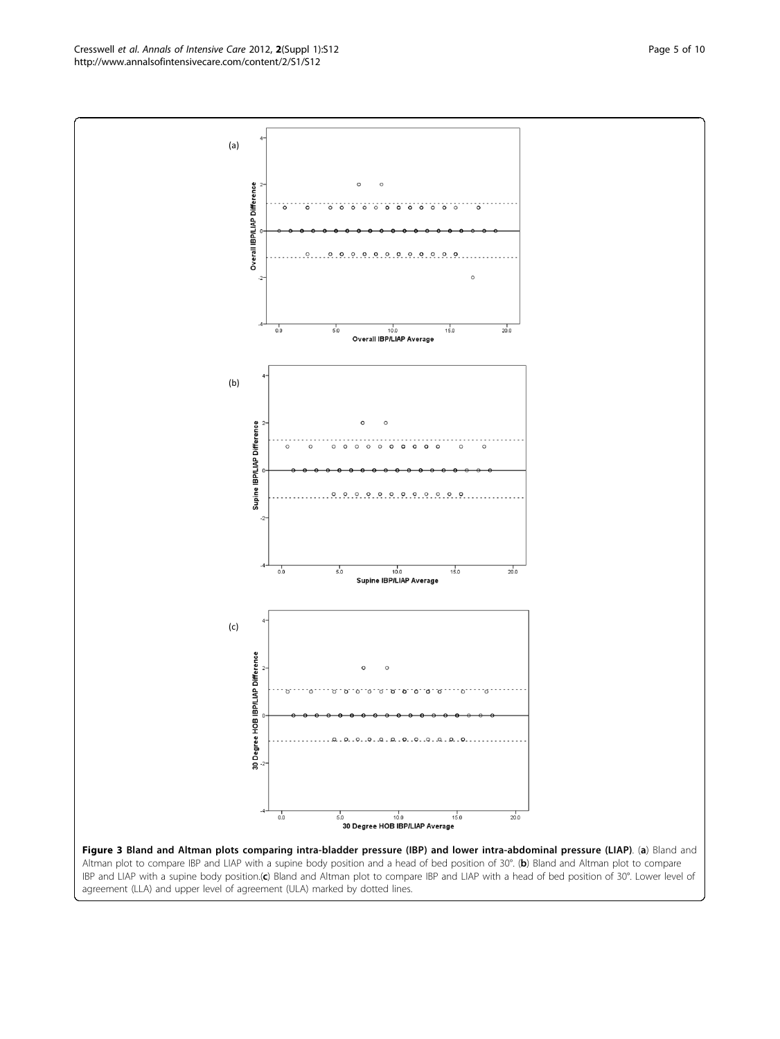<span id="page-4-0"></span>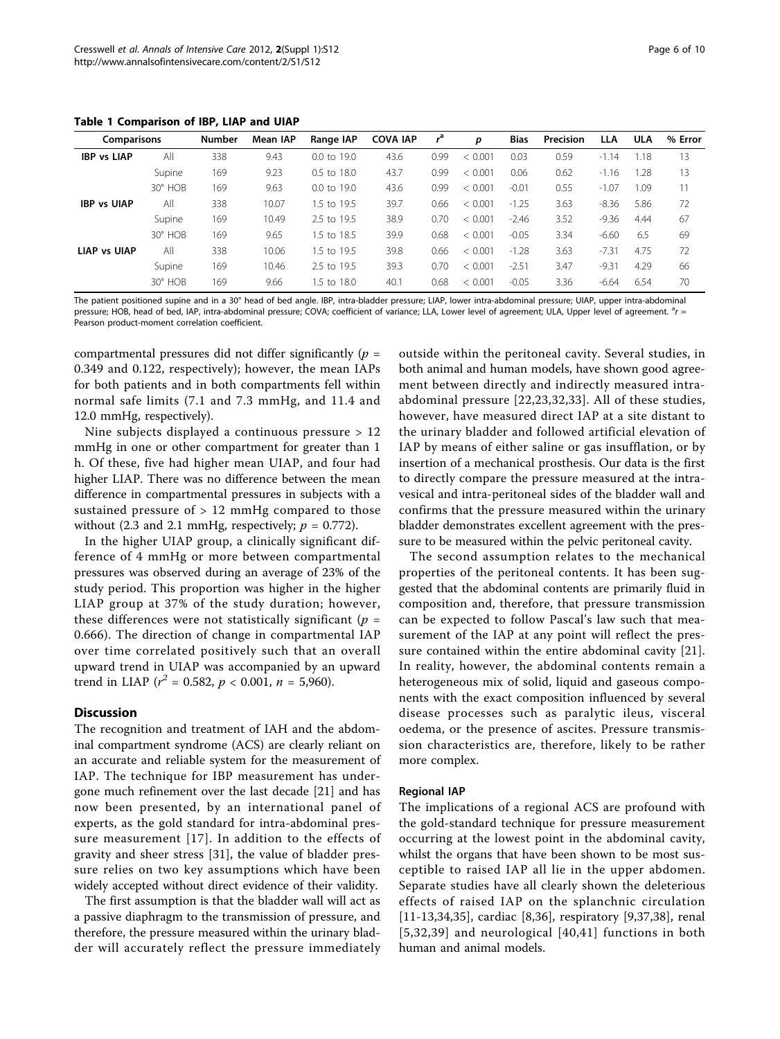<span id="page-5-0"></span>Table 1 Comparison of IBP, LIAP and UIAP

| Comparisons         |                | <b>Number</b> | Mean IAP | Range IAP       | <b>COVA IAP</b> | r <sup>a</sup> | р       | <b>Bias</b> | Precision | <b>LLA</b> | <b>ULA</b> | % Error |
|---------------------|----------------|---------------|----------|-----------------|-----------------|----------------|---------|-------------|-----------|------------|------------|---------|
| <b>IBP vs LIAP</b>  | All            | 338           | 9.43     | 0.0 to 19.0     | 43.6            | 0.99           | < 0.001 | 0.03        | 0.59      | $-1.14$    | .18        | 13      |
|                     | Supine         | 169           | 9.23     | $0.5$ to $18.0$ | 43.7            | 0.99           | < 0.001 | 0.06        | 0.62      | $-1.16$    | .28        | 13      |
|                     | $30^\circ$ HOB | 169           | 9.63     | 0.0 to 19.0     | 43.6            | 0.99           | < 0.001 | $-0.01$     | 0.55      | $-1.07$    | 09         |         |
| <b>IBP vs UIAP</b>  | All            | 338           | 10.07    | 1.5 to 19.5     | 39.7            | 0.66           | < 0.001 | $-1.25$     | 3.63      | $-8.36$    | 5.86       | 72      |
|                     | Supine         | 169           | 10.49    | 2.5 to 19.5     | 38.9            | 0.70           | < 0.001 | $-2.46$     | 3.52      | $-9.36$    | 4.44       | 67      |
|                     | 30° HOB        | 169           | 9.65     | 1.5 to 18.5     | 39.9            | 0.68           | < 0.001 | $-0.05$     | 3.34      | $-6.60$    | 6.5        | 69      |
| <b>LIAP vs UIAP</b> | All            | 338           | 10.06    | 1.5 to 19.5     | 39.8            | 0.66           | < 0.001 | $-1.28$     | 3.63      | $-7.31$    | 4.75       | 72      |
|                     | Supine         | 169           | 10.46    | 2.5 to 19.5     | 39.3            | 0.70           | < 0.001 | $-2.51$     | 3.47      | $-9.31$    | 4.29       | 66      |
|                     | $30^\circ$ HOB | 169           | 9.66     | 1.5 to 18.0     | 40.1            | 0.68           | < 0.001 | $-0.05$     | 3.36      | $-6.64$    | 6.54       | 70      |

The patient positioned supine and in a 30° head of bed angle. IBP, intra-bladder pressure; LIAP, lower intra-abdominal pressure; UIAP, upper intra-abdominal pressure; HOB, head of bed, IAP, intra-abdominal pressure; COVA; coefficient of variance; LLA, Lower level of agreement; ULA, Upper level of agreement. <sup>a</sup>r Pearson product-moment correlation coefficient.

compartmental pressures did not differ significantly  $(p =$ 0.349 and 0.122, respectively); however, the mean IAPs for both patients and in both compartments fell within normal safe limits (7.1 and 7.3 mmHg, and 11.4 and 12.0 mmHg, respectively).

Nine subjects displayed a continuous pressure > 12 mmHg in one or other compartment for greater than 1 h. Of these, five had higher mean UIAP, and four had higher LIAP. There was no difference between the mean difference in compartmental pressures in subjects with a sustained pressure of  $> 12$  mmHg compared to those without (2.3 and 2.1 mmHg, respectively;  $p = 0.772$ ).

In the higher UIAP group, a clinically significant difference of 4 mmHg or more between compartmental pressures was observed during an average of 23% of the study period. This proportion was higher in the higher LIAP group at 37% of the study duration; however, these differences were not statistically significant ( $p =$ 0.666). The direction of change in compartmental IAP over time correlated positively such that an overall upward trend in UIAP was accompanied by an upward trend in LIAP ( $r^2 = 0.582$ ,  $p < 0.001$ ,  $n = 5,960$ ).

#### **Discussion**

The recognition and treatment of IAH and the abdominal compartment syndrome (ACS) are clearly reliant on an accurate and reliable system for the measurement of IAP. The technique for IBP measurement has undergone much refinement over the last decade [[21](#page-9-0)] and has now been presented, by an international panel of experts, as the gold standard for intra-abdominal pressure measurement [[17](#page-9-0)]. In addition to the effects of gravity and sheer stress [\[31](#page-9-0)], the value of bladder pressure relies on two key assumptions which have been widely accepted without direct evidence of their validity.

The first assumption is that the bladder wall will act as a passive diaphragm to the transmission of pressure, and therefore, the pressure measured within the urinary bladder will accurately reflect the pressure immediately

outside within the peritoneal cavity. Several studies, in both animal and human models, have shown good agreement between directly and indirectly measured intraabdominal pressure [[22](#page-9-0),[23,32,33\]](#page-9-0). All of these studies, however, have measured direct IAP at a site distant to the urinary bladder and followed artificial elevation of IAP by means of either saline or gas insufflation, or by insertion of a mechanical prosthesis. Our data is the first to directly compare the pressure measured at the intravesical and intra-peritoneal sides of the bladder wall and confirms that the pressure measured within the urinary bladder demonstrates excellent agreement with the pressure to be measured within the pelvic peritoneal cavity.

The second assumption relates to the mechanical properties of the peritoneal contents. It has been suggested that the abdominal contents are primarily fluid in composition and, therefore, that pressure transmission can be expected to follow Pascal's law such that measurement of the IAP at any point will reflect the pressure contained within the entire abdominal cavity [[21](#page-9-0)]. In reality, however, the abdominal contents remain a heterogeneous mix of solid, liquid and gaseous components with the exact composition influenced by several disease processes such as paralytic ileus, visceral oedema, or the presence of ascites. Pressure transmission characteristics are, therefore, likely to be rather more complex.

#### Regional IAP

The implications of a regional ACS are profound with the gold-standard technique for pressure measurement occurring at the lowest point in the abdominal cavity, whilst the organs that have been shown to be most susceptible to raised IAP all lie in the upper abdomen. Separate studies have all clearly shown the deleterious effects of raised IAP on the splanchnic circulation [[11-13,34,35](#page-9-0)], cardiac [\[8](#page-9-0),[36\]](#page-9-0), respiratory [\[9](#page-9-0),[37,38\]](#page-9-0), renal [[5,](#page-8-0)[32,39\]](#page-9-0) and neurological [[40](#page-9-0),[41](#page-9-0)] functions in both human and animal models.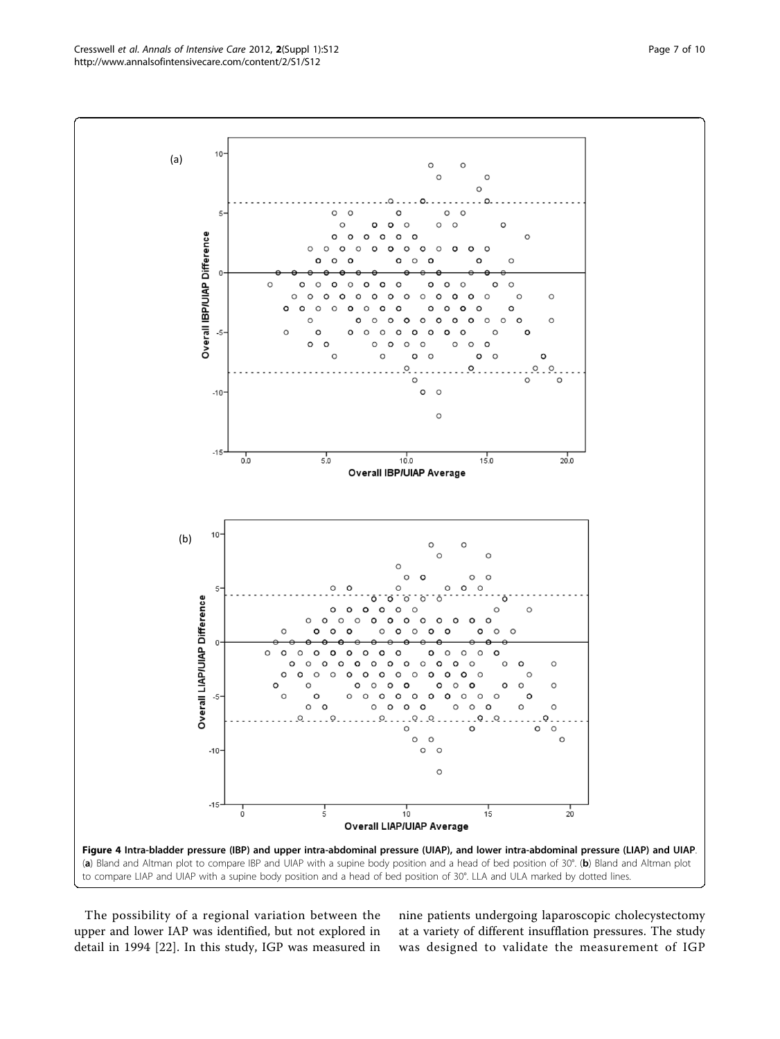The possibility of a regional variation between the upper and lower IAP was identified, but not explored in detail in 1994 [[22\]](#page-9-0). In this study, IGP was measured in nine patients undergoing laparoscopic cholecystectomy at a variety of different insufflation pressures. The study was designed to validate the measurement of IGP

<span id="page-6-0"></span>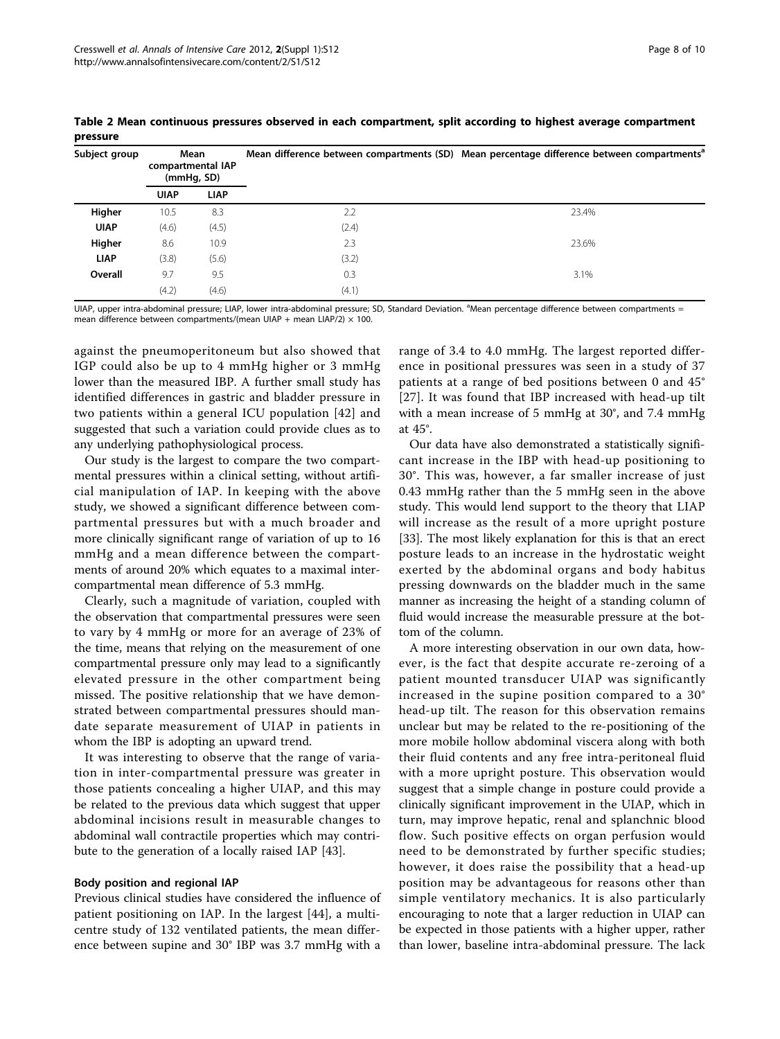| Subject group | Mean<br>compartmental IAP<br>(mmHq, SD) |             |       | Mean difference between compartments (SD) Mean percentage difference between compartments <sup>a</sup> |  |  |  |  |
|---------------|-----------------------------------------|-------------|-------|--------------------------------------------------------------------------------------------------------|--|--|--|--|
|               | <b>UIAP</b>                             | <b>LIAP</b> |       |                                                                                                        |  |  |  |  |
| Higher        | 10.5                                    | 8.3         | 2.2   | 23.4%                                                                                                  |  |  |  |  |
| <b>UIAP</b>   | (4.6)                                   | (4.5)       | (2.4) |                                                                                                        |  |  |  |  |
| Higher        | 8.6                                     | 10.9        | 2.3   | 23.6%                                                                                                  |  |  |  |  |
| <b>LIAP</b>   | (3.8)                                   | (5.6)       | (3.2) |                                                                                                        |  |  |  |  |
| Overall       | 9.7                                     | 9.5         | 0.3   | 3.1%                                                                                                   |  |  |  |  |
|               | (4.2)                                   | (4.6)       | (4.1) |                                                                                                        |  |  |  |  |

<span id="page-7-0"></span>Table 2 Mean continuous pressures observed in each compartment, split according to highest average compartment pressure

UIAP, upper intra-abdominal pressure; LIAP, lower intra-abdominal pressure; SD, Standard Deviation. <sup>a</sup>Mean percentage difference between compartments = mean difference between compartments/(mean UIAP + mean LIAP/2)  $\times$  100.

against the pneumoperitoneum but also showed that IGP could also be up to 4 mmHg higher or 3 mmHg lower than the measured IBP. A further small study has identified differences in gastric and bladder pressure in two patients within a general ICU population [\[42](#page-9-0)] and suggested that such a variation could provide clues as to any underlying pathophysiological process.

Our study is the largest to compare the two compartmental pressures within a clinical setting, without artificial manipulation of IAP. In keeping with the above study, we showed a significant difference between compartmental pressures but with a much broader and more clinically significant range of variation of up to 16 mmHg and a mean difference between the compartments of around 20% which equates to a maximal intercompartmental mean difference of 5.3 mmHg.

Clearly, such a magnitude of variation, coupled with the observation that compartmental pressures were seen to vary by 4 mmHg or more for an average of 23% of the time, means that relying on the measurement of one compartmental pressure only may lead to a significantly elevated pressure in the other compartment being missed. The positive relationship that we have demonstrated between compartmental pressures should mandate separate measurement of UIAP in patients in whom the IBP is adopting an upward trend.

It was interesting to observe that the range of variation in inter-compartmental pressure was greater in those patients concealing a higher UIAP, and this may be related to the previous data which suggest that upper abdominal incisions result in measurable changes to abdominal wall contractile properties which may contribute to the generation of a locally raised IAP [[43\]](#page-9-0).

#### Body position and regional IAP

Previous clinical studies have considered the influence of patient positioning on IAP. In the largest [[44\]](#page-9-0), a multicentre study of 132 ventilated patients, the mean difference between supine and 30° IBP was 3.7 mmHg with a range of 3.4 to 4.0 mmHg. The largest reported difference in positional pressures was seen in a study of 37 patients at a range of bed positions between 0 and 45° [[27](#page-9-0)]. It was found that IBP increased with head-up tilt with a mean increase of 5 mmHg at 30°, and 7.4 mmHg at 45°.

Our data have also demonstrated a statistically significant increase in the IBP with head-up positioning to 30°. This was, however, a far smaller increase of just 0.43 mmHg rather than the 5 mmHg seen in the above study. This would lend support to the theory that LIAP will increase as the result of a more upright posture [[33\]](#page-9-0). The most likely explanation for this is that an erect posture leads to an increase in the hydrostatic weight exerted by the abdominal organs and body habitus pressing downwards on the bladder much in the same manner as increasing the height of a standing column of fluid would increase the measurable pressure at the bottom of the column.

A more interesting observation in our own data, however, is the fact that despite accurate re-zeroing of a patient mounted transducer UIAP was significantly increased in the supine position compared to a 30° head-up tilt. The reason for this observation remains unclear but may be related to the re-positioning of the more mobile hollow abdominal viscera along with both their fluid contents and any free intra-peritoneal fluid with a more upright posture. This observation would suggest that a simple change in posture could provide a clinically significant improvement in the UIAP, which in turn, may improve hepatic, renal and splanchnic blood flow. Such positive effects on organ perfusion would need to be demonstrated by further specific studies; however, it does raise the possibility that a head-up position may be advantageous for reasons other than simple ventilatory mechanics. It is also particularly encouraging to note that a larger reduction in UIAP can be expected in those patients with a higher upper, rather than lower, baseline intra-abdominal pressure. The lack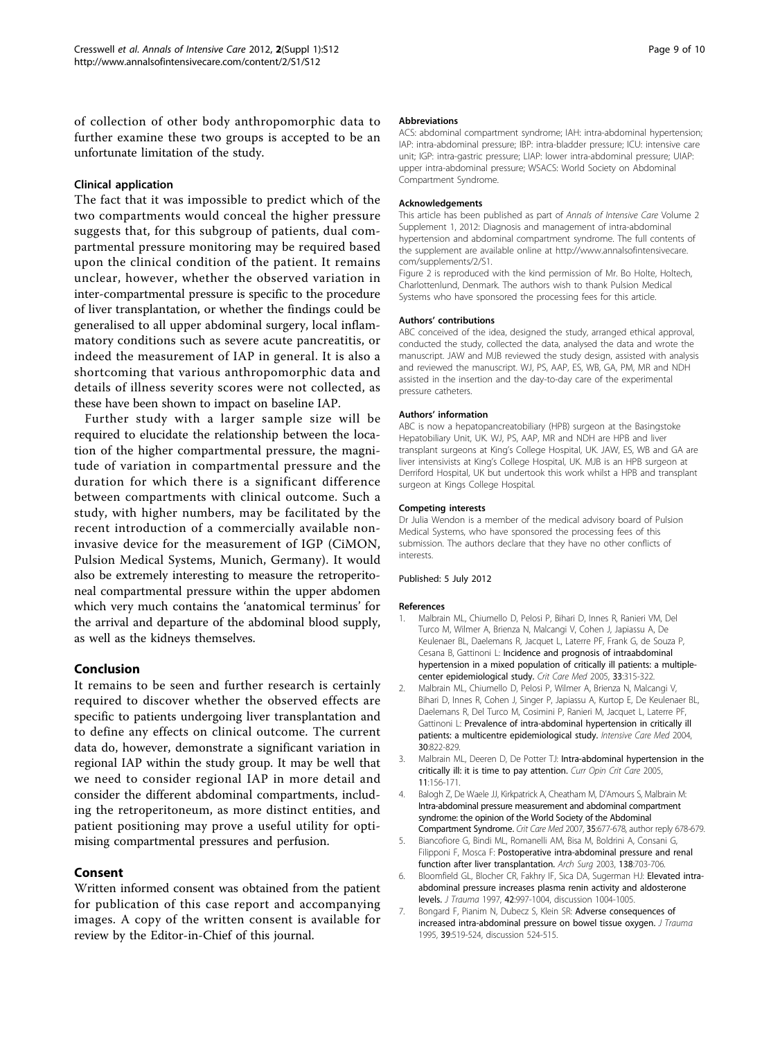<span id="page-8-0"></span>of collection of other body anthropomorphic data to further examine these two groups is accepted to be an unfortunate limitation of the study.

#### Clinical application

The fact that it was impossible to predict which of the two compartments would conceal the higher pressure suggests that, for this subgroup of patients, dual compartmental pressure monitoring may be required based upon the clinical condition of the patient. It remains unclear, however, whether the observed variation in inter-compartmental pressure is specific to the procedure of liver transplantation, or whether the findings could be generalised to all upper abdominal surgery, local inflammatory conditions such as severe acute pancreatitis, or indeed the measurement of IAP in general. It is also a shortcoming that various anthropomorphic data and details of illness severity scores were not collected, as these have been shown to impact on baseline IAP.

Further study with a larger sample size will be required to elucidate the relationship between the location of the higher compartmental pressure, the magnitude of variation in compartmental pressure and the duration for which there is a significant difference between compartments with clinical outcome. Such a study, with higher numbers, may be facilitated by the recent introduction of a commercially available noninvasive device for the measurement of IGP (CiMON, Pulsion Medical Systems, Munich, Germany). It would also be extremely interesting to measure the retroperitoneal compartmental pressure within the upper abdomen which very much contains the 'anatomical terminus' for the arrival and departure of the abdominal blood supply, as well as the kidneys themselves.

#### Conclusion

It remains to be seen and further research is certainly required to discover whether the observed effects are specific to patients undergoing liver transplantation and to define any effects on clinical outcome. The current data do, however, demonstrate a significant variation in regional IAP within the study group. It may be well that we need to consider regional IAP in more detail and consider the different abdominal compartments, including the retroperitoneum, as more distinct entities, and patient positioning may prove a useful utility for optimising compartmental pressures and perfusion.

#### Consent

Written informed consent was obtained from the patient for publication of this case report and accompanying images. A copy of the written consent is available for review by the Editor-in-Chief of this journal.

#### Abbreviations

ACS: abdominal compartment syndrome; IAH: intra-abdominal hypertension; IAP: intra-abdominal pressure; IBP: intra-bladder pressure; ICU: intensive care unit; IGP: intra-gastric pressure; LIAP: lower intra-abdominal pressure; UIAP: upper intra-abdominal pressure; WSACS: World Society on Abdominal Compartment Syndrome.

#### Acknowledgements

This article has been published as part of Annals of Intensive Care Volume 2 Supplement 1, 2012: Diagnosis and management of intra-abdominal hypertension and abdominal compartment syndrome. The full contents of the supplement are available online at [http://www.annalsofintensivecare.](http://www.annalsofintensivecare.com/supplements/2/S1) [com/supplements/2/S1.](http://www.annalsofintensivecare.com/supplements/2/S1)

Figure [2](#page-3-0) is reproduced with the kind permission of Mr. Bo Holte, Holtech, Charlottenlund, Denmark. The authors wish to thank Pulsion Medical Systems who have sponsored the processing fees for this article.

#### Authors' contributions

ABC conceived of the idea, designed the study, arranged ethical approval, conducted the study, collected the data, analysed the data and wrote the manuscript. JAW and MJB reviewed the study design, assisted with analysis and reviewed the manuscript. WJ, PS, AAP, ES, WB, GA, PM, MR and NDH assisted in the insertion and the day-to-day care of the experimental pressure catheters.

#### Authors' information

ABC is now a hepatopancreatobiliary (HPB) surgeon at the Basingstoke Hepatobiliary Unit, UK. WJ, PS, AAP, MR and NDH are HPB and liver transplant surgeons at King's College Hospital, UK. JAW, ES, WB and GA are liver intensivists at King's College Hospital, UK. MJB is an HPB surgeon at Derriford Hospital, UK but undertook this work whilst a HPB and transplant surgeon at Kings College Hospital.

#### Competing interests

Dr Julia Wendon is a member of the medical advisory board of Pulsion Medical Systems, who have sponsored the processing fees of this submission. The authors declare that they have no other conflicts of interests.

#### Published: 5 July 2012

#### References

- 1. Malbrain ML, Chiumello D, Pelosi P, Bihari D, Innes R, Ranieri VM, Del Turco M, Wilmer A, Brienza N, Malcangi V, Cohen J, Japiassu A, De Keulenaer BL, Daelemans R, Jacquet L, Laterre PF, Frank G, de Souza P, Cesana B, Gattinoni L: [Incidence and prognosis of intraabdominal](http://www.ncbi.nlm.nih.gov/pubmed/15699833?dopt=Abstract) [hypertension in a mixed population of critically ill patients: a multiple](http://www.ncbi.nlm.nih.gov/pubmed/15699833?dopt=Abstract)[center epidemiological study.](http://www.ncbi.nlm.nih.gov/pubmed/15699833?dopt=Abstract) Crit Care Med 2005, 33:315-322.
- 2. Malbrain ML, Chiumello D, Pelosi P, Wilmer A, Brienza N, Malcangi V, Bihari D, Innes R, Cohen J, Singer P, Japiassu A, Kurtop E, De Keulenaer BL, Daelemans R, Del Turco M, Cosimini P, Ranieri M, Jacquet L, Laterre PF, Gattinoni L: [Prevalence of intra-abdominal hypertension in critically ill](http://www.ncbi.nlm.nih.gov/pubmed/14758472?dopt=Abstract) [patients: a multicentre epidemiological study.](http://www.ncbi.nlm.nih.gov/pubmed/14758472?dopt=Abstract) Intensive Care Med 2004, 30:822-829.
- 3. Malbrain ML, Deeren D, De Potter TJ: [Intra-abdominal hypertension in the](http://www.ncbi.nlm.nih.gov/pubmed/15758597?dopt=Abstract) [critically ill: it is time to pay attention.](http://www.ncbi.nlm.nih.gov/pubmed/15758597?dopt=Abstract) Curr Opin Crit Care 2005, 11:156-171.
- Balogh Z, De Waele JJ, Kirkpatrick A, Cheatham M, D'Amours S, Malbrain M: [Intra-abdominal pressure measurement and abdominal compartment](http://www.ncbi.nlm.nih.gov/pubmed/17251737?dopt=Abstract) [syndrome: the opinion of the World Society of the Abdominal](http://www.ncbi.nlm.nih.gov/pubmed/17251737?dopt=Abstract) [Compartment Syndrome.](http://www.ncbi.nlm.nih.gov/pubmed/17251737?dopt=Abstract) Crit Care Med 2007, 35:677-678, author reply 678-679.
- 5. Biancofiore G, Bindi ML, Romanelli AM, Bisa M, Boldrini A, Consani G, Filipponi F, Mosca F: [Postoperative intra-abdominal pressure and renal](http://www.ncbi.nlm.nih.gov/pubmed/12860748?dopt=Abstract) [function after liver transplantation.](http://www.ncbi.nlm.nih.gov/pubmed/12860748?dopt=Abstract) Arch Surg 2003, 138:703-706.
- 6. Bloomfield GL, Blocher CR, Fakhry IF, Sica DA, Sugerman HJ: [Elevated intra](http://www.ncbi.nlm.nih.gov/pubmed/9210531?dopt=Abstract)[abdominal pressure increases plasma renin activity and aldosterone](http://www.ncbi.nlm.nih.gov/pubmed/9210531?dopt=Abstract) [levels.](http://www.ncbi.nlm.nih.gov/pubmed/9210531?dopt=Abstract) J Trauma 1997, 42:997-1004, discussion 1004-1005.
- 7. Bongard F, Pianim N, Dubecz S, Klein SR: [Adverse consequences of](http://www.ncbi.nlm.nih.gov/pubmed/7473918?dopt=Abstract) [increased intra-abdominal pressure on bowel tissue oxygen.](http://www.ncbi.nlm.nih.gov/pubmed/7473918?dopt=Abstract) J Trauma 1995, 39:519-524, discussion 524-515.